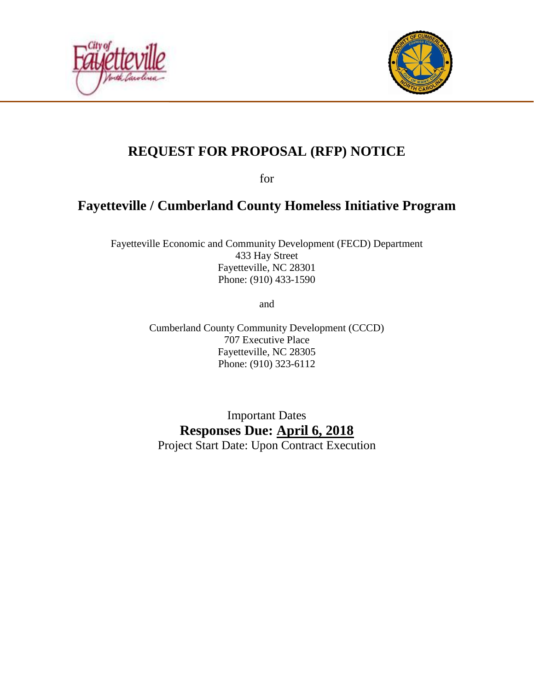



# **REQUEST FOR PROPOSAL (RFP) NOTICE**

for

## **Fayetteville / Cumberland County Homeless Initiative Program**

Fayetteville Economic and Community Development (FECD) Department 433 Hay Street Fayetteville, NC 28301 Phone: (910) 433-1590

and

Cumberland County Community Development (CCCD) 707 Executive Place Fayetteville, NC 28305 Phone: (910) 323-6112

Important Dates **Responses Due: April 6, 2018** Project Start Date: Upon Contract Execution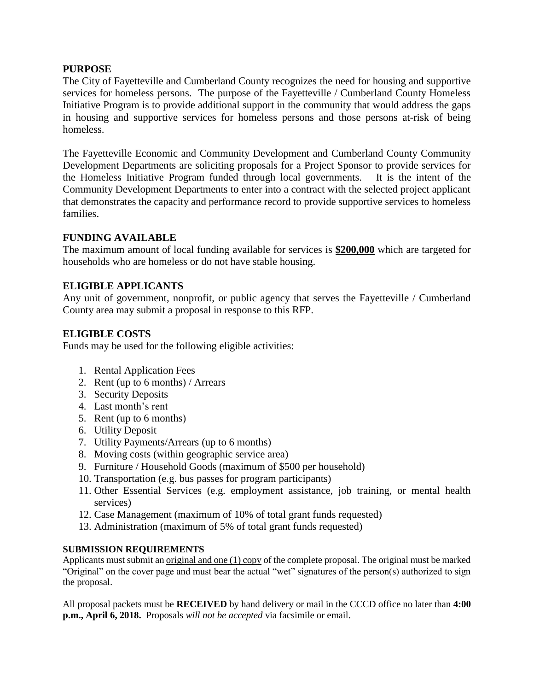### **PURPOSE**

The City of Fayetteville and Cumberland County recognizes the need for housing and supportive services for homeless persons. The purpose of the Fayetteville / Cumberland County Homeless Initiative Program is to provide additional support in the community that would address the gaps in housing and supportive services for homeless persons and those persons at-risk of being homeless.

The Fayetteville Economic and Community Development and Cumberland County Community Development Departments are soliciting proposals for a Project Sponsor to provide services for the Homeless Initiative Program funded through local governments. It is the intent of the Community Development Departments to enter into a contract with the selected project applicant that demonstrates the capacity and performance record to provide supportive services to homeless families.

## **FUNDING AVAILABLE**

The maximum amount of local funding available for services is **\$200,000** which are targeted for households who are homeless or do not have stable housing.

## **ELIGIBLE APPLICANTS**

Any unit of government, nonprofit, or public agency that serves the Fayetteville / Cumberland County area may submit a proposal in response to this RFP.

## **ELIGIBLE COSTS**

Funds may be used for the following eligible activities:

- 1. Rental Application Fees
- 2. Rent (up to 6 months) / Arrears
- 3. Security Deposits
- 4. Last month's rent
- 5. Rent (up to 6 months)
- 6. Utility Deposit
- 7. Utility Payments/Arrears (up to 6 months)
- 8. Moving costs (within geographic service area)
- 9. Furniture / Household Goods (maximum of \$500 per household)
- 10. Transportation (e.g. bus passes for program participants)
- 11. Other Essential Services (e.g. employment assistance, job training, or mental health services)
- 12. Case Management (maximum of 10% of total grant funds requested)
- 13. Administration (maximum of 5% of total grant funds requested)

#### **SUBMISSION REQUIREMENTS**

Applicants must submit an original and one (1) copy of the complete proposal. The original must be marked "Original" on the cover page and must bear the actual "wet" signatures of the person(s) authorized to sign the proposal.

All proposal packets must be **RECEIVED** by hand delivery or mail in the CCCD office no later than **4:00 p.m., April 6, 2018.** Proposals *will not be accepted* via facsimile or email.